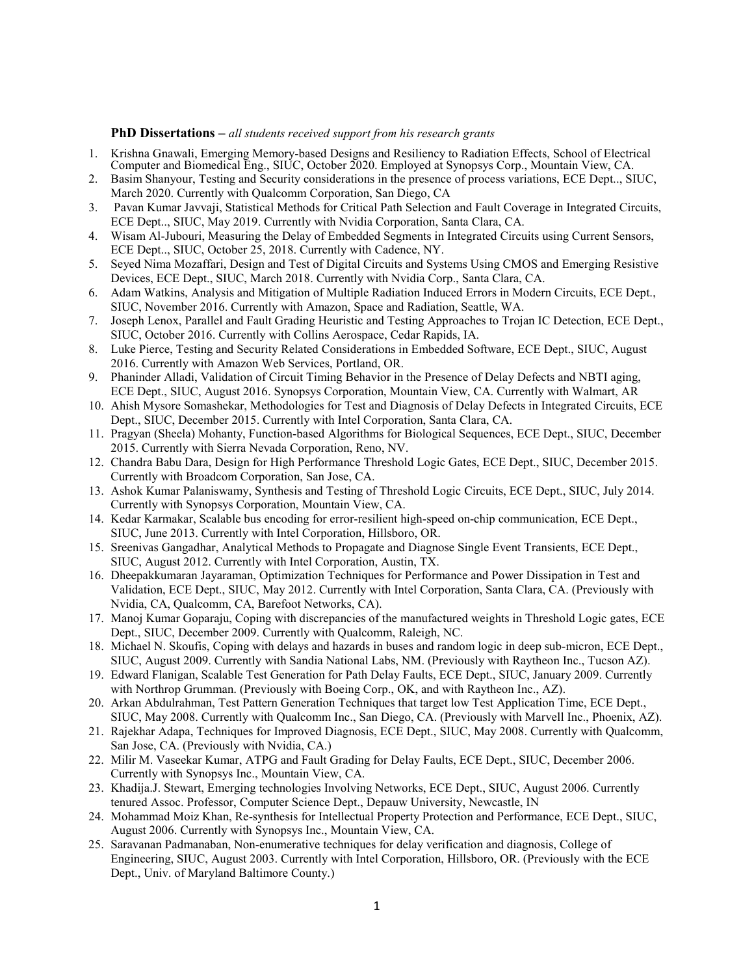## **PhD Dissertations –** *all students received support from his research grants*

- 1. Krishna Gnawali, Emerging Memory-based Designs and Resiliency to Radiation Effects, School of Electrical Computer and Biomedical Eng., SIUC, October 2020. Employed at Synopsys Corp., Mountain View, CA.
- 2. Basim Shanyour, Testing and Security considerations in the presence of process variations, ECE Dept.., SIUC, March 2020. Currently with Qualcomm Corporation, San Diego, CA
- 3. Pavan Kumar Javvaji, Statistical Methods for Critical Path Selection and Fault Coverage in Integrated Circuits, ECE Dept.., SIUC, May 2019. Currently with Nvidia Corporation, Santa Clara, CA.
- 4. Wisam Al-Jubouri, Measuring the Delay of Embedded Segments in Integrated Circuits using Current Sensors, ECE Dept.., SIUC, October 25, 2018. Currently with Cadence, NY.
- 5. Seyed Nima Mozaffari, Design and Test of Digital Circuits and Systems Using CMOS and Emerging Resistive Devices, ECE Dept., SIUC, March 2018. Currently with Nvidia Corp., Santa Clara, CA.
- 6. Adam Watkins, Analysis and Mitigation of Multiple Radiation Induced Errors in Modern Circuits, ECE Dept., SIUC, November 2016. Currently with Amazon, Space and Radiation, Seattle, WA.
- 7. Joseph Lenox, Parallel and Fault Grading Heuristic and Testing Approaches to Trojan IC Detection, ECE Dept., SIUC, October 2016. Currently with Collins Aerospace, Cedar Rapids, IA.
- 8. Luke Pierce, Testing and Security Related Considerations in Embedded Software, ECE Dept., SIUC, August 2016. Currently with Amazon Web Services, Portland, OR.
- 9. Phaninder Alladi, Validation of Circuit Timing Behavior in the Presence of Delay Defects and NBTI aging, ECE Dept., SIUC, August 2016. Synopsys Corporation, Mountain View, CA. Currently with Walmart, AR
- 10. Ahish Mysore Somashekar, Methodologies for Test and Diagnosis of Delay Defects in Integrated Circuits, ECE Dept., SIUC, December 2015. Currently with Intel Corporation, Santa Clara, CA.
- 11. Pragyan (Sheela) Mohanty, Function-based Algorithms for Biological Sequences, ECE Dept., SIUC, December 2015. Currently with Sierra Nevada Corporation, Reno, NV.
- 12. Chandra Babu Dara, Design for High Performance Threshold Logic Gates, ECE Dept., SIUC, December 2015. Currently with Broadcom Corporation, San Jose, CA.
- 13. Ashok Kumar Palaniswamy, Synthesis and Testing of Threshold Logic Circuits, ECE Dept., SIUC, July 2014. Currently with Synopsys Corporation, Mountain View, CA.
- 14. Kedar Karmakar, Scalable bus encoding for error-resilient high-speed on-chip communication, ECE Dept., SIUC, June 2013. Currently with Intel Corporation, Hillsboro, OR.
- 15. Sreenivas Gangadhar, Analytical Methods to Propagate and Diagnose Single Event Transients, ECE Dept., SIUC, August 2012. Currently with Intel Corporation, Austin, TX.
- 16. Dheepakkumaran Jayaraman, Optimization Techniques for Performance and Power Dissipation in Test and Validation, ECE Dept., SIUC, May 2012. Currently with Intel Corporation, Santa Clara, CA. (Previously with Nvidia, CA, Qualcomm, CA, Barefoot Networks, CA).
- 17. Manoj Kumar Goparaju, Coping with discrepancies of the manufactured weights in Threshold Logic gates, ECE Dept., SIUC, December 2009. Currently with Qualcomm, Raleigh, NC.
- 18. Michael N. Skoufis, Coping with delays and hazards in buses and random logic in deep sub-micron, ECE Dept., SIUC, August 2009. Currently with Sandia National Labs, NM. (Previously with Raytheon Inc., Tucson AZ).
- 19. Edward Flanigan, Scalable Test Generation for Path Delay Faults, ECE Dept., SIUC, January 2009. Currently with Northrop Grumman. (Previously with Boeing Corp., OK, and with Raytheon Inc., AZ).
- 20. Arkan Abdulrahman, Test Pattern Generation Techniques that target low Test Application Time, ECE Dept., SIUC, May 2008. Currently with Qualcomm Inc., San Diego, CA. (Previously with Marvell Inc., Phoenix, AZ).
- 21. Rajekhar Adapa, Techniques for Improved Diagnosis, ECE Dept., SIUC, May 2008. Currently with Qualcomm, San Jose, CA. (Previously with Nvidia, CA.)
- 22. Milir M. Vaseekar Kumar, ATPG and Fault Grading for Delay Faults, ECE Dept., SIUC, December 2006. Currently with Synopsys Inc., Mountain View, CA.
- 23. Khadija.J. Stewart, Emerging technologies Involving Networks, ECE Dept., SIUC, August 2006. Currently tenured Assoc. Professor, Computer Science Dept., Depauw University, Newcastle, IN
- 24. Mohammad Moiz Khan, Re-synthesis for Intellectual Property Protection and Performance, ECE Dept., SIUC, August 2006. Currently with Synopsys Inc., Mountain View, CA.
- 25. Saravanan Padmanaban, Non-enumerative techniques for delay verification and diagnosis, College of Engineering, SIUC, August 2003. Currently with Intel Corporation, Hillsboro, OR. (Previously with the ECE Dept., Univ. of Maryland Baltimore County.)